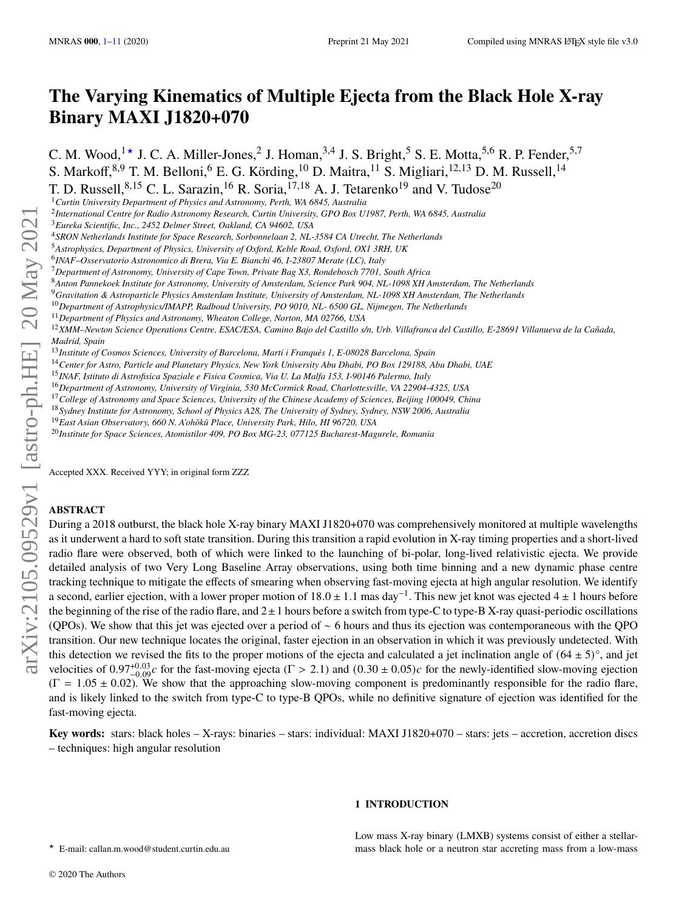# **The Varying Kinematics of Multiple Ejecta from the Black Hole X-ray Binary MAXI J1820+070**

C. M. Wood,  $1 \star$  J. C. A. Miller-Jones,  $2$  J. Homan,  $3,4$  J. S. Bright,  $5$  S. E. Motta,  $5,6$  R. P. Fender,  $5,7$ S. Markoff,  $8.9$  T. M. Belloni, <sup>6</sup> E. G. Körding,  $^{10}$  D. Maitra,  $^{11}$  S. Migliari,  $^{12,13}$  D. M. Russell,  $^{14}$ 

T. D. Russell,  $8,15$  C. L. Sarazin,  $^{16}$  R. Soria,  $^{17,18}$  A. J. Tetarenko<sup>19</sup> and V. Tudose<sup>20</sup>

2 *International Centre for Radio Astronomy Research, Curtin University, GPO Box U1987, Perth, WA 6845, Australia*

<sup>3</sup>*Eureka Scientific, Inc., 2452 Delmer Street, Oakland, CA 94602, USA*

<sup>4</sup>*SRON Netherlands Institute for Space Research, Sorbonnelaan 2, NL-3584 CA Utrecht, The Netherlands*

<sup>5</sup>*Astrophysics, Department of Physics, University of Oxford, Keble Road, Oxford, OX1 3RH, UK*

6 *INAF–Osservatorio Astronomico di Brera, Via E. Bianchi 46, I-23807 Merate (LC), Italy*

<sup>7</sup>*Department of Astronomy, University of Cape Town, Private Bag X3, Rondebosch 7701, South Africa*

<sup>8</sup>*Anton Pannekoek Institute for Astronomy, University of Amsterdam, Science Park 904, NL-1098 XH Amsterdam, The Netherlands*

<sup>9</sup>*Gravitation & Astroparticle Physics Amsterdam Institute, University of Amsterdam, NL-1098 XH Amsterdam, The Netherlands*

<sup>10</sup>*Department of Astrophysics/IMAPP, Radboud University, PO 9010, NL- 6500 GL, Nijmegen, The Netherlands*

<sup>11</sup>*Department of Physics and Astronomy, Wheaton College, Norton, MA 02766, USA*

<sup>12</sup>*XMM–Newton Science Operations Centre, ESAC/ESA, Camino Bajo del Castillo s/n, Urb. Villafranca del Castillo, E-28691 Villanueva de la Cañada, Madrid, Spain*

<sup>13</sup>*Institute of Cosmos Sciences, University of Barcelona, Martí i Franquès 1, E-08028 Barcelona, Spain*

<sup>14</sup>*Center for Astro, Particle and Planetary Physics, New York University Abu Dhabi, PO Box 129188, Abu Dhabi, UAE*

<sup>15</sup>*INAF, Istituto di Astrofisica Spaziale e Fisica Cosmica, Via U. La Malfa 153, I-90146 Palermo, Italy*

<sup>16</sup>*Department of Astronomy, University of Virginia, 530 McCormick Road, Charlottesville, VA 22904-4325, USA*

<sup>17</sup>*College of Astronomy and Space Sciences, University of the Chinese Academy of Sciences, Beijing 100049, China*

<sup>18</sup>*Sydney Institute for Astronomy, School of Physics A28, The University of Sydney, Sydney, NSW 2006, Australia*

<sup>19</sup> East Asian Observatory, 660 N. A'ohōkū Place, University Park, Hilo, HI 96720, USA

<sup>20</sup>*Institute for Space Sciences, Atomistilor 409, PO Box MG-23, 077125 Bucharest-Magurele, Romania*

Accepted XXX. Received YYY; in original form ZZZ

# **ABSTRACT**

During a 2018 outburst, the black hole X-ray binary MAXI J1820+070 was comprehensively monitored at multiple wavelengths as it underwent a hard to soft state transition. During this transition a rapid evolution in X-ray timing properties and a short-lived radio flare were observed, both of which were linked to the launching of bi-polar, long-lived relativistic ejecta. We provide detailed analysis of two Very Long Baseline Array observations, using both time binning and a new dynamic phase centre tracking technique to mitigate the effects of smearing when observing fast-moving ejecta at high angular resolution. We identify a second, earlier ejection, with a lower proper motion of 18.0 ± 1.1 mas day−<sup>1</sup> . This new jet knot was ejected 4 ± 1 hours before the beginning of the rise of the radio flare, and  $2 \pm 1$  hours before a switch from type-C to type-B X-ray quasi-periodic oscillations (QPOs). We show that this jet was ejected over a period of ∼ 6 hours and thus its ejection was contemporaneous with the QPO transition. Our new technique locates the original, faster ejection in an observation in which it was previously undetected. With this detection we revised the fits to the proper motions of the ejecta and calculated a jet inclination angle of  $(64 \pm 5)^\circ$ , and jet velocities of  $0.97^{+0.03}_{-0.09}$ c for the fast-moving ejecta ( $\Gamma > 2.1$ ) and  $(0.30 \pm 0.05)c$  for the newly-identified slow-moving ejection  $(\Gamma = 1.05 \pm 0.02)$ . We show that the approaching slow-moving component is predominantly responsible for the radio flare, and is likely linked to the switch from type-C to type-B QPOs, while no definitive signature of ejection was identified for the fast-moving ejecta.

**Key words:** stars: black holes – X-rays: binaries – stars: individual: MAXI J1820+070 – stars: jets – accretion, accretion discs – techniques: high angular resolution

# **1 INTRODUCTION**

Low mass X-ray binary (LMXB) systems consist of either a stellarmass black hole or a neutron star accreting mass from a low-mass

<span id="page-0-0"></span>★ E-mail: callan.m.wood@student.curtin.edu.au

<sup>1</sup>*Curtin University Department of Physics and Astronomy, Perth, WA 6845, Australia*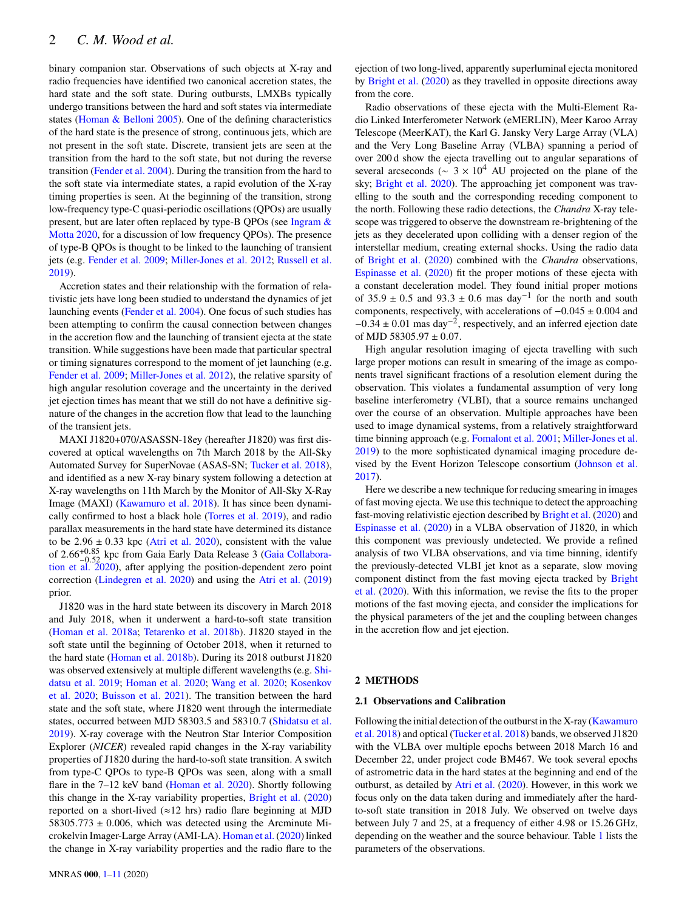binary companion star. Observations of such objects at X-ray and radio frequencies have identified two canonical accretion states, the hard state and the soft state. During outbursts, LMXBs typically undergo transitions between the hard and soft states via intermediate states [\(Homan & Belloni](#page-10-0) [2005\)](#page-10-0). One of the defining characteristics of the hard state is the presence of strong, continuous jets, which are not present in the soft state. Discrete, transient jets are seen at the transition from the hard to the soft state, but not during the reverse transition [\(Fender et al.](#page-10-1) [2004\)](#page-10-1). During the transition from the hard to the soft state via intermediate states, a rapid evolution of the X-ray timing properties is seen. At the beginning of the transition, strong low-frequency type-C quasi-periodic oscillations (QPOs) are usually present, but are later often replaced by type-B QPOs (see [Ingram &](#page-10-2) [Motta](#page-10-2) [2020,](#page-10-2) for a discussion of low frequency QPOs). The presence of type-B QPOs is thought to be linked to the launching of transient jets (e.g. [Fender et al.](#page-10-3) [2009;](#page-10-3) [Miller-Jones et al.](#page-10-4) [2012;](#page-10-4) [Russell et al.](#page-10-5) [2019\)](#page-10-5).

Accretion states and their relationship with the formation of relativistic jets have long been studied to understand the dynamics of jet launching events [\(Fender et al.](#page-10-1) [2004\)](#page-10-1). One focus of such studies has been attempting to confirm the causal connection between changes in the accretion flow and the launching of transient ejecta at the state transition. While suggestions have been made that particular spectral or timing signatures correspond to the moment of jet launching (e.g. [Fender et al.](#page-10-3) [2009;](#page-10-3) [Miller-Jones et al.](#page-10-4) [2012\)](#page-10-4), the relative sparsity of high angular resolution coverage and the uncertainty in the derived jet ejection times has meant that we still do not have a definitive signature of the changes in the accretion flow that lead to the launching of the transient jets.

MAXI J1820+070/ASASSN-18ey (hereafter J1820) was first discovered at optical wavelengths on 7th March 2018 by the All-Sky Automated Survey for SuperNovae (ASAS-SN; [Tucker et al.](#page-10-6) [2018\)](#page-10-6), and identified as a new X-ray binary system following a detection at X-ray wavelengths on 11th March by the Monitor of All-Sky X-Ray Image (MAXI) [\(Kawamuro et al.](#page-10-7) [2018\)](#page-10-7). It has since been dynamically confirmed to host a black hole [\(Torres et al.](#page-10-8) [2019\)](#page-10-8), and radio parallax measurements in the hard state have determined its distance to be  $2.96 \pm 0.33$  kpc [\(Atri et al.](#page-10-9) [2020\)](#page-10-9), consistent with the value of 2.66+0.<sup>85</sup> <sup>−</sup>0.<sup>52</sup> kpc from Gaia Early Data Release 3 [\(Gaia Collabora](#page-10-10)[tion et al.](#page-10-10) [2020\)](#page-10-10), after applying the position-dependent zero point correction [\(Lindegren et al.](#page-10-11) [2020\)](#page-10-11) and using the [Atri et al.](#page-10-12) [\(2019\)](#page-10-12) prior.

J1820 was in the hard state between its discovery in March 2018 and July 2018, when it underwent a hard-to-soft state transition [\(Homan et al.](#page-10-13) [2018a;](#page-10-13) [Tetarenko et al.](#page-10-14) [2018b\)](#page-10-14). J1820 stayed in the soft state until the beginning of October 2018, when it returned to the hard state [\(Homan et al.](#page-10-15) [2018b\)](#page-10-15). During its 2018 outburst J1820 was observed extensively at multiple different wavelengths (e.g. [Shi](#page-10-16)[datsu et al.](#page-10-16) [2019;](#page-10-16) [Homan et al.](#page-10-17) [2020;](#page-10-17) [Wang et al.](#page-10-18) [2020;](#page-10-18) [Kosenkov](#page-10-19) [et al.](#page-10-19) [2020;](#page-10-19) [Buisson et al.](#page-10-20) [2021\)](#page-10-20). The transition between the hard state and the soft state, where J1820 went through the intermediate states, occurred between MJD 58303.5 and 58310.7 [\(Shidatsu et al.](#page-10-16) [2019\)](#page-10-16). X-ray coverage with the Neutron Star Interior Composition Explorer (*NICER*) revealed rapid changes in the X-ray variability properties of J1820 during the hard-to-soft state transition. A switch from type-C QPOs to type-B QPOs was seen, along with a small flare in the 7–12 keV band [\(Homan et al.](#page-10-17) [2020\)](#page-10-17). Shortly following this change in the X-ray variability properties, [Bright et al.](#page-10-21) [\(2020\)](#page-10-21) reported on a short-lived ( $\approx$ 12 hrs) radio flare beginning at MJD 58305.773  $\pm$  0.006, which was detected using the Arcminute Microkelvin Imager-Large Array (AMI-LA). [Homan et al.](#page-10-17) [\(2020\)](#page-10-17) linked the change in X-ray variability properties and the radio flare to the ejection of two long-lived, apparently superluminal ejecta monitored by [Bright et al.](#page-10-21) [\(2020\)](#page-10-21) as they travelled in opposite directions away from the core.

Radio observations of these ejecta with the Multi-Element Radio Linked Interferometer Network (eMERLIN), Meer Karoo Array Telescope (MeerKAT), the Karl G. Jansky Very Large Array (VLA) and the Very Long Baseline Array (VLBA) spanning a period of over 200 d show the ejecta travelling out to angular separations of several arcseconds ( $\sim$  3 × 10<sup>4</sup> AU projected on the plane of the sky; [Bright et al.](#page-10-21) [2020\)](#page-10-21). The approaching jet component was travelling to the south and the corresponding receding component to the north. Following these radio detections, the *Chandra* X-ray telescope was triggered to observe the downstream re-brightening of the jets as they decelerated upon colliding with a denser region of the interstellar medium, creating external shocks. Using the radio data of [Bright et al.](#page-10-21) [\(2020\)](#page-10-21) combined with the *Chandra* observations, [Espinasse et al.](#page-10-22) [\(2020\)](#page-10-22) fit the proper motions of these ejecta with a constant deceleration model. They found initial proper motions of 35.9 ± 0.5 and 93.3 ± 0.6 mas day<sup>-1</sup> for the north and south components, respectively, with accelerations of −0.045 ± 0.004 and  $-0.34 \pm 0.01$  mas day<sup>-2</sup>, respectively, and an inferred ejection date of MJD 58305.97  $\pm$  0.07.

High angular resolution imaging of ejecta travelling with such large proper motions can result in smearing of the image as components travel significant fractions of a resolution element during the observation. This violates a fundamental assumption of very long baseline interferometry (VLBI), that a source remains unchanged over the course of an observation. Multiple approaches have been used to image dynamical systems, from a relatively straightforward time binning approach (e.g. [Fomalont et al.](#page-10-23) [2001;](#page-10-23) [Miller-Jones et al.](#page-10-24) [2019\)](#page-10-24) to the more sophisticated dynamical imaging procedure devised by the Event Horizon Telescope consortium [\(Johnson et al.](#page-10-25) [2017\)](#page-10-25).

Here we describe a new technique for reducing smearing in images of fast moving ejecta. We use this technique to detect the approaching fast-moving relativistic ejection described by [Bright et al.](#page-10-21) [\(2020\)](#page-10-21) and [Espinasse et al.](#page-10-22) [\(2020\)](#page-10-22) in a VLBA observation of J1820, in which this component was previously undetected. We provide a refined analysis of two VLBA observations, and via time binning, identify the previously-detected VLBI jet knot as a separate, slow moving component distinct from the fast moving ejecta tracked by [Bright](#page-10-21) [et al.](#page-10-21) [\(2020\)](#page-10-21). With this information, we revise the fits to the proper motions of the fast moving ejecta, and consider the implications for the physical parameters of the jet and the coupling between changes in the accretion flow and jet ejection.

# **2 METHODS**

# **2.1 Observations and Calibration**

Following the initial detection of the outburst in the X-ray [\(Kawamuro](#page-10-7) [et al.](#page-10-7) [2018\)](#page-10-7) and optical [\(Tucker et al.](#page-10-6) [2018\)](#page-10-6) bands, we observed J1820 with the VLBA over multiple epochs between 2018 March 16 and December 22, under project code BM467. We took several epochs of astrometric data in the hard states at the beginning and end of the outburst, as detailed by [Atri et al.](#page-10-9) [\(2020\)](#page-10-9). However, in this work we focus only on the data taken during and immediately after the hardto-soft state transition in 2018 July. We observed on twelve days between July 7 and 25, at a frequency of either 4.98 or 15.26 GHz, depending on the weather and the source behaviour. Table [1](#page-2-0) lists the parameters of the observations.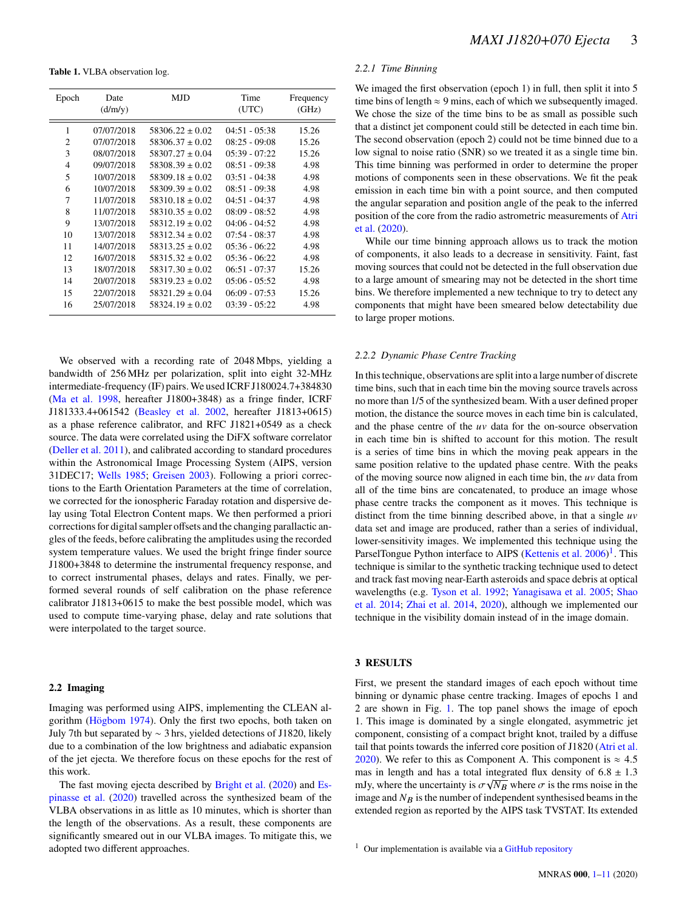<span id="page-2-0"></span>**Table 1.** VLBA observation log.

| Epoch | Date<br>(d/m/y) | MJD                 | Time<br>(UTC)   | Frequency<br>(GHz) |
|-------|-----------------|---------------------|-----------------|--------------------|
| 1     | 07/07/2018      | $58306.22 \pm 0.02$ | $04:51 - 05:38$ | 15.26              |
| 2     | 07/07/2018      | $58306.37 \pm 0.02$ | $08:25 - 09:08$ | 15.26              |
| 3     | 08/07/2018      | $58307.27 \pm 0.04$ | $05:39 - 07:22$ | 15.26              |
| 4     | 09/07/2018      | $58308.39 + 0.02$   | $08:51 - 09:38$ | 4.98               |
| 5     | 10/07/2018      | $58309.18 \pm 0.02$ | $03:51 - 04:38$ | 4.98               |
| 6     | 10/07/2018      | $58309.39 + 0.02$   | $08:51 - 09:38$ | 4.98               |
| 7     | 11/07/2018      | $58310.18 \pm 0.02$ | $04:51 - 04:37$ | 4.98               |
| 8     | 11/07/2018      | $58310.35 \pm 0.02$ | $08:09 - 08:52$ | 4.98               |
| 9     | 13/07/2018      | $58312.19 \pm 0.02$ | $04:06 - 04:52$ | 4.98               |
| 10    | 13/07/2018      | $58312.34 \pm 0.02$ | $07:54 - 08:37$ | 4.98               |
| 11    | 14/07/2018      | $58313.25 \pm 0.02$ | $05:36 - 06:22$ | 4.98               |
| 12    | 16/07/2018      | $58315.32 \pm 0.02$ | $05:36 - 06:22$ | 4.98               |
| 13    | 18/07/2018      | $58317.30 \pm 0.02$ | $06:51 - 07:37$ | 15.26              |
| 14    | 20/07/2018      | $58319.23 \pm 0.02$ | $05:06 - 05:52$ | 4.98               |
| 15    | 22/07/2018      | $58321.29 \pm 0.04$ | $06:09 - 07:53$ | 15.26              |
| 16    | 25/07/2018      | $58324.19 \pm 0.02$ | $03:39 - 05:22$ | 4.98               |

We observed with a recording rate of 2048 Mbps, yielding a bandwidth of 256 MHz per polarization, split into eight 32-MHz intermediate-frequency (IF) pairs. We used ICRF J180024.7+384830 [\(Ma et al.](#page-10-26) [1998,](#page-10-26) hereafter J1800+3848) as a fringe finder, ICRF J181333.4+061542 [\(Beasley et al.](#page-10-27) [2002,](#page-10-27) hereafter J1813+0615) as a phase reference calibrator, and RFC J1821+0549 as a check source. The data were correlated using the DiFX software correlator [\(Deller et al.](#page-10-28) [2011\)](#page-10-28), and calibrated according to standard procedures within the Astronomical Image Processing System (AIPS, version 31DEC17; [Wells](#page-10-29) [1985;](#page-10-29) [Greisen](#page-10-30) [2003\)](#page-10-30). Following a priori corrections to the Earth Orientation Parameters at the time of correlation, we corrected for the ionospheric Faraday rotation and dispersive delay using Total Electron Content maps. We then performed a priori corrections for digital sampler offsets and the changing parallactic angles of the feeds, before calibrating the amplitudes using the recorded system temperature values. We used the bright fringe finder source J1800+3848 to determine the instrumental frequency response, and to correct instrumental phases, delays and rates. Finally, we performed several rounds of self calibration on the phase reference calibrator J1813+0615 to make the best possible model, which was used to compute time-varying phase, delay and rate solutions that were interpolated to the target source.

# **2.2 Imaging**

Imaging was performed using AIPS, implementing the CLEAN algorithm [\(Högbom](#page-10-31) [1974\)](#page-10-31). Only the first two epochs, both taken on July 7th but separated by ∼ 3 hrs, yielded detections of J1820, likely due to a combination of the low brightness and adiabatic expansion of the jet ejecta. We therefore focus on these epochs for the rest of this work.

The fast moving ejecta described by [Bright et al.](#page-10-21) [\(2020\)](#page-10-21) and [Es](#page-10-22)[pinasse et al.](#page-10-22) [\(2020\)](#page-10-22) travelled across the synthesized beam of the VLBA observations in as little as 10 minutes, which is shorter than the length of the observations. As a result, these components are significantly smeared out in our VLBA images. To mitigate this, we adopted two different approaches.

# <span id="page-2-2"></span>*2.2.1 Time Binning*

We imaged the first observation (epoch 1) in full, then split it into 5 time bins of length  $\approx$  9 mins, each of which we subsequently imaged. We chose the size of the time bins to be as small as possible such that a distinct jet component could still be detected in each time bin. The second observation (epoch 2) could not be time binned due to a low signal to noise ratio (SNR) so we treated it as a single time bin. This time binning was performed in order to determine the proper motions of components seen in these observations. We fit the peak emission in each time bin with a point source, and then computed the angular separation and position angle of the peak to the inferred position of the core from the radio astrometric measurements of [Atri](#page-10-9) [et al.](#page-10-9) [\(2020\)](#page-10-9).

While our time binning approach allows us to track the motion of components, it also leads to a decrease in sensitivity. Faint, fast moving sources that could not be detected in the full observation due to a large amount of smearing may not be detected in the short time bins. We therefore implemented a new technique to try to detect any components that might have been smeared below detectability due to large proper motions.

## <span id="page-2-3"></span>*2.2.2 Dynamic Phase Centre Tracking*

In this technique, observations are split into a large number of discrete time bins, such that in each time bin the moving source travels across no more than 1/5 of the synthesized beam. With a user defined proper motion, the distance the source moves in each time bin is calculated, and the phase centre of the  $uv$  data for the on-source observation in each time bin is shifted to account for this motion. The result is a series of time bins in which the moving peak appears in the same position relative to the updated phase centre. With the peaks of the moving source now aligned in each time bin, the  $uv$  data from all of the time bins are concatenated, to produce an image whose phase centre tracks the component as it moves. This technique is distinct from the time binning described above, in that a single  $uv$ data set and image are produced, rather than a series of individual, lower-sensitivity images. We implemented this technique using the ParselTongue Python interface to AIPS [\(Kettenis et al.](#page-10-32) [2006\)](#page-10-32)<sup>[1](#page-2-1)</sup>. This technique is similar to the synthetic tracking technique used to detect and track fast moving near-Earth asteroids and space debris at optical wavelengths (e.g. [Tyson et al.](#page-10-33) [1992;](#page-10-33) [Yanagisawa et al.](#page-10-34) [2005;](#page-10-34) [Shao](#page-10-35) [et al.](#page-10-35) [2014;](#page-10-35) [Zhai et al.](#page-10-36) [2014,](#page-10-36) [2020\)](#page-10-37), although we implemented our technique in the visibility domain instead of in the image domain.

# **3 RESULTS**

First, we present the standard images of each epoch without time binning or dynamic phase centre tracking. Images of epochs 1 and 2 are shown in Fig. [1.](#page-3-0) The top panel shows the image of epoch 1. This image is dominated by a single elongated, asymmetric jet component, consisting of a compact bright knot, trailed by a diffuse tail that points towards the inferred core position of J1820 [\(Atri et al.](#page-10-9) [2020\)](#page-10-9). We refer to this as Component A. This component is  $\approx 4.5$ mas in length and has a total integrated flux density of  $6.8 \pm 1.3$ mJy, where the uncertainty is  $\sigma \sqrt{N_B}$  where  $\sigma$  is the rms noise in the image and  $N_B$  is the number of independent synthesised beams in the extended region as reported by the AIPS task TVSTAT. Its extended

<span id="page-2-1"></span><sup>1</sup> Our implementation is available via a [GitHub repository](https://github.com/Callan612/AIPS-Proper-Motion-Correction)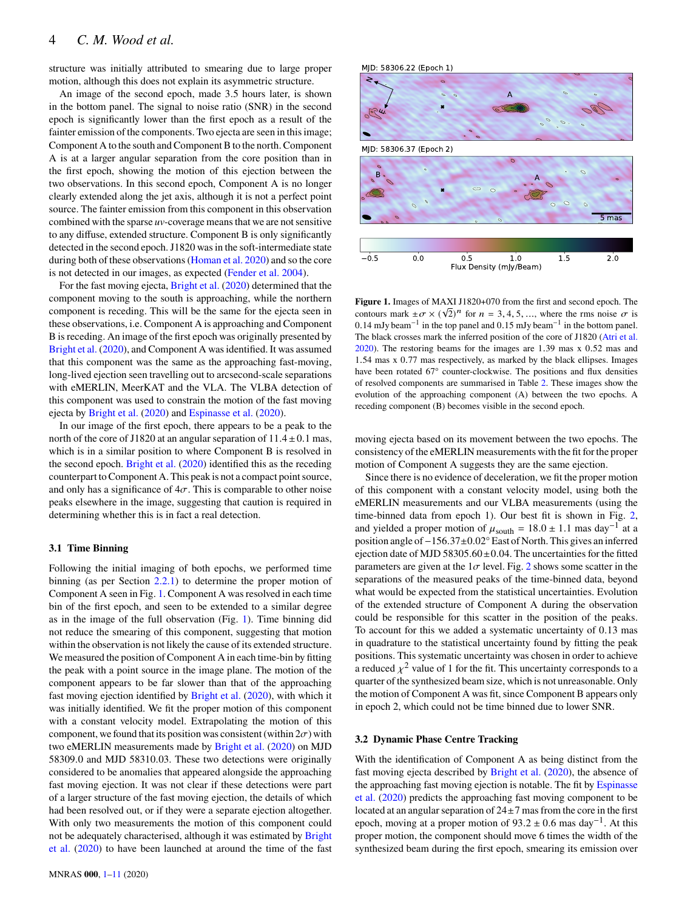structure was initially attributed to smearing due to large proper motion, although this does not explain its asymmetric structure.

An image of the second epoch, made 3.5 hours later, is shown in the bottom panel. The signal to noise ratio (SNR) in the second epoch is significantly lower than the first epoch as a result of the fainter emission of the components. Two ejecta are seen in this image; Component A to the south and Component B to the north. Component A is at a larger angular separation from the core position than in the first epoch, showing the motion of this ejection between the two observations. In this second epoch, Component A is no longer clearly extended along the jet axis, although it is not a perfect point source. The fainter emission from this component in this observation combined with the sparse *uv*-coverage means that we are not sensitive to any diffuse, extended structure. Component B is only significantly detected in the second epoch. J1820 was in the soft-intermediate state during both of these observations [\(Homan et al.](#page-10-17) [2020\)](#page-10-17) and so the core is not detected in our images, as expected [\(Fender et al.](#page-10-1) [2004\)](#page-10-1).

For the fast moving ejecta, [Bright et al.](#page-10-21) [\(2020\)](#page-10-21) determined that the component moving to the south is approaching, while the northern component is receding. This will be the same for the ejecta seen in these observations, i.e. Component A is approaching and Component B is receding. An image of the first epoch was originally presented by [Bright et al.](#page-10-21) [\(2020\)](#page-10-21), and Component A was identified. It was assumed that this component was the same as the approaching fast-moving, long-lived ejection seen travelling out to arcsecond-scale separations with eMERLIN, MeerKAT and the VLA. The VLBA detection of this component was used to constrain the motion of the fast moving ejecta by [Bright et al.](#page-10-21) [\(2020\)](#page-10-21) and [Espinasse et al.](#page-10-22) [\(2020\)](#page-10-22).

In our image of the first epoch, there appears to be a peak to the north of the core of J1820 at an angular separation of  $11.4 \pm 0.1$  mas, which is in a similar position to where Component B is resolved in the second epoch. [Bright et al.](#page-10-21) [\(2020\)](#page-10-21) identified this as the receding counterpart to Component A. This peak is not a compact point source, and only has a significance of  $4\sigma$ . This is comparable to other noise peaks elsewhere in the image, suggesting that caution is required in determining whether this is in fact a real detection.

# **3.1 Time Binning**

Following the initial imaging of both epochs, we performed time binning (as per Section [2.2.1\)](#page-2-2) to determine the proper motion of Component A seen in Fig. [1.](#page-3-0) Component A was resolved in each time bin of the first epoch, and seen to be extended to a similar degree as in the image of the full observation (Fig. [1\)](#page-3-0). Time binning did not reduce the smearing of this component, suggesting that motion within the observation is not likely the cause of its extended structure. We measured the position of Component A in each time-bin by fitting the peak with a point source in the image plane. The motion of the component appears to be far slower than that of the approaching fast moving ejection identified by [Bright et al.](#page-10-21) [\(2020\)](#page-10-21), with which it was initially identified. We fit the proper motion of this component with a constant velocity model. Extrapolating the motion of this component, we found that its position was consistent (within  $2\sigma$ ) with two eMERLIN measurements made by [Bright et al.](#page-10-21) [\(2020\)](#page-10-21) on MJD 58309.0 and MJD 58310.03. These two detections were originally considered to be anomalies that appeared alongside the approaching fast moving ejection. It was not clear if these detections were part of a larger structure of the fast moving ejection, the details of which had been resolved out, or if they were a separate ejection altogether. With only two measurements the motion of this component could not be adequately characterised, although it was estimated by [Bright](#page-10-21) [et al.](#page-10-21) [\(2020\)](#page-10-21) to have been launched at around the time of the fast



<span id="page-3-0"></span>**Figure 1.** Images of MAXI J1820+070 from the first and second epoch. The **Figure 1.** Images of MAXI J1620+070 from the first and second epoch. The contours mark  $\pm \sigma \times (\sqrt{2})^n$  for  $n = 3, 4, 5, ...$ , where the rms noise  $\sigma$  is 0.14 mJy beam<sup>-1</sup> in the top panel and 0.15 mJy beam<sup>-1</sup> in the bottom panel. The black crosses mark the inferred position of the core of J1820 [\(Atri et al.](#page-10-9) [2020\)](#page-10-9). The restoring beams for the images are 1.39 mas x 0.52 mas and 1.54 mas x 0.77 mas respectively, as marked by the black ellipses. Images have been rotated 67° counter-clockwise. The positions and flux densities of resolved components are summarised in Table [2.](#page-5-0) These images show the evolution of the approaching component (A) between the two epochs. A receding component (B) becomes visible in the second epoch.

moving ejecta based on its movement between the two epochs. The consistency of the eMERLIN measurements with the fit for the proper motion of Component A suggests they are the same ejection.

Since there is no evidence of deceleration, we fit the proper motion of this component with a constant velocity model, using both the eMERLIN measurements and our VLBA measurements (using the time-binned data from epoch 1). Our best fit is shown in Fig. [2,](#page-4-0) and yielded a proper motion of  $\mu_{\text{south}} = 18.0 \pm 1.1$  mas day<sup>-1</sup> at a position angle of−156.37±0.02° East of North. This gives an inferred ejection date of MJD 58305.60 $\pm$ 0.04. The uncertainties for the fitted parameters are given at the  $1\sigma$  level. Fig. [2](#page-4-0) shows some scatter in the separations of the measured peaks of the time-binned data, beyond what would be expected from the statistical uncertainties. Evolution of the extended structure of Component A during the observation could be responsible for this scatter in the position of the peaks. To account for this we added a systematic uncertainty of 0.13 mas in quadrature to the statistical uncertainty found by fitting the peak positions. This systematic uncertainty was chosen in order to achieve a reduced  $y^2$  value of 1 for the fit. This uncertainty corresponds to a quarter of the synthesized beam size, which is not unreasonable. Only the motion of Component A was fit, since Component B appears only in epoch 2, which could not be time binned due to lower SNR.

# **3.2 Dynamic Phase Centre Tracking**

With the identification of Component A as being distinct from the fast moving ejecta described by [Bright et al.](#page-10-21) [\(2020\)](#page-10-21), the absence of the approaching fast moving ejection is notable. The fit by [Espinasse](#page-10-22) [et al.](#page-10-22) [\(2020\)](#page-10-22) predicts the approaching fast moving component to be located at an angular separation of  $24 \pm 7$  mas from the core in the first epoch, moving at a proper motion of  $93.2 \pm 0.6$  mas day<sup>-1</sup>. At this proper motion, the component should move 6 times the width of the synthesized beam during the first epoch, smearing its emission over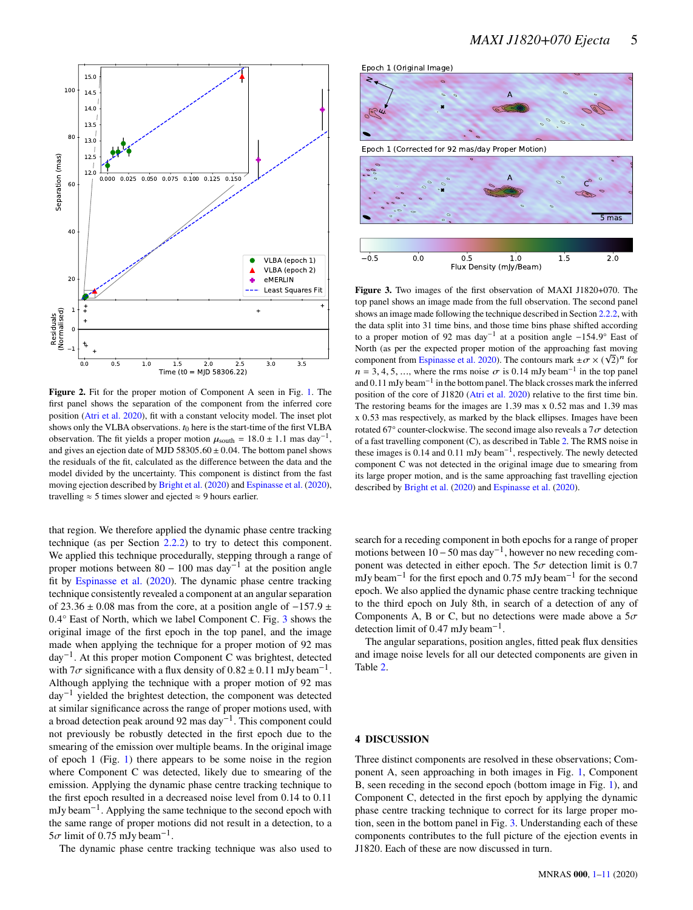

<span id="page-4-0"></span>**Figure 2.** Fit for the proper motion of Component A seen in Fig. [1.](#page-3-0) The first panel shows the separation of the component from the inferred core position [\(Atri et al.](#page-10-9) [2020\)](#page-10-9), fit with a constant velocity model. The inset plot shows only the VLBA observations.  $t_0$  here is the start-time of the first VLBA observation. The fit yields a proper motion  $\mu_{\text{south}} = 18.0 \pm 1.1$  mas day<sup>-1</sup>, and gives an ejection date of MJD 58305.60  $\pm$  0.04. The bottom panel shows the residuals of the fit, calculated as the difference between the data and the model divided by the uncertainty. This component is distinct from the fast moving ejection described by [Bright et al.](#page-10-21) [\(2020\)](#page-10-21) and [Espinasse et al.](#page-10-22) [\(2020\)](#page-10-22), travelling  $\approx$  5 times slower and ejected  $\approx$  9 hours earlier.

that region. We therefore applied the dynamic phase centre tracking technique (as per Section [2.2.2\)](#page-2-3) to try to detect this component. We applied this technique procedurally, stepping through a range of proper motions between  $80 - 100$  mas day<sup>-1</sup> at the position angle fit by [Espinasse et al.](#page-10-22) [\(2020\)](#page-10-22). The dynamic phase centre tracking technique consistently revealed a component at an angular separation of 23.36  $\pm$  0.08 mas from the core, at a position angle of  $-157.9 \pm$ 0.4° East of North, which we label Component C. Fig. [3](#page-4-1) shows the original image of the first epoch in the top panel, and the image made when applying the technique for a proper motion of 92 mas day−<sup>1</sup> . At this proper motion Component C was brightest, detected with  $7\sigma$  significance with a flux density of  $0.82 \pm 0.11$  mJy beam<sup>-1</sup>. Although applying the technique with a proper motion of 92 mas day−<sup>1</sup> yielded the brightest detection, the component was detected at similar significance across the range of proper motions used, with a broad detection peak around 92 mas day<sup>-1</sup>. This component could not previously be robustly detected in the first epoch due to the smearing of the emission over multiple beams. In the original image of epoch 1 (Fig. [1\)](#page-3-0) there appears to be some noise in the region where Component C was detected, likely due to smearing of the emission. Applying the dynamic phase centre tracking technique to the first epoch resulted in a decreased noise level from 0.14 to 0.11 mJy beam<sup>-1</sup>. Applying the same technique to the second epoch with the same range of proper motions did not result in a detection, to a  $5\sigma$  limit of 0.75 mJy beam<sup>-1</sup>.

The dynamic phase centre tracking technique was also used to





<span id="page-4-1"></span>**Figure 3.** Two images of the first observation of MAXI J1820+070. The top panel shows an image made from the full observation. The second panel shows an image made following the technique described in Section [2.2.2,](#page-2-3) with the data split into 31 time bins, and those time bins phase shifted according to a proper motion of 92 mas day−<sup>1</sup> at a position angle −154.9° East of North (as per the expected proper motion of the approaching fast moving rooth (as per the expected proper motion of the approaching fast moving<br>component from [Espinasse et al.](#page-10-22) [2020\)](#page-10-22). The contours mark  $\pm \sigma \times (\sqrt{2})^n$  for  $n = 3, 4, 5, \dots$ , where the rms noise  $\sigma$  is 0.14 mJy beam<sup>-1</sup> in the top panel and 0.11 mJy beam−<sup>1</sup> in the bottom panel. The black crosses mark the inferred position of the core of J1820 [\(Atri et al.](#page-10-9) [2020\)](#page-10-9) relative to the first time bin. The restoring beams for the images are 1.39 mas x 0.52 mas and 1.39 mas x 0.53 mas respectively, as marked by the black ellipses. Images have been rotated 67° counter-clockwise. The second image also reveals a  $7\sigma$  detection of a fast travelling component (C), as described in Table [2.](#page-5-0) The RMS noise in these images is  $0.14$  and  $0.11$  mJy beam<sup>-1</sup>, respectively. The newly detected component C was not detected in the original image due to smearing from its large proper motion, and is the same approaching fast travelling ejection described by [Bright et al.](#page-10-21) [\(2020\)](#page-10-21) and [Espinasse et al.](#page-10-22) [\(2020\)](#page-10-22).

search for a receding component in both epochs for a range of proper motions between 10 – 50 mas day<sup>-1</sup>, however no new receding component was detected in either epoch. The  $5\sigma$  detection limit is 0.7 mJy beam<sup>-1</sup> for the first epoch and 0.75 mJy beam<sup>-1</sup> for the second epoch. We also applied the dynamic phase centre tracking technique to the third epoch on July 8th, in search of a detection of any of Components A, B or C, but no detections were made above a  $5\sigma$ detection limit of 0.47 mJy beam<sup>-1</sup>.

The angular separations, position angles, fitted peak flux densities and image noise levels for all our detected components are given in Table [2.](#page-5-0)

### **4 DISCUSSION**

Three distinct components are resolved in these observations; Component A, seen approaching in both images in Fig. [1,](#page-3-0) Component B, seen receding in the second epoch (bottom image in Fig. [1\)](#page-3-0), and Component C, detected in the first epoch by applying the dynamic phase centre tracking technique to correct for its large proper motion, seen in the bottom panel in Fig. [3.](#page-4-1) Understanding each of these components contributes to the full picture of the ejection events in J1820. Each of these are now discussed in turn.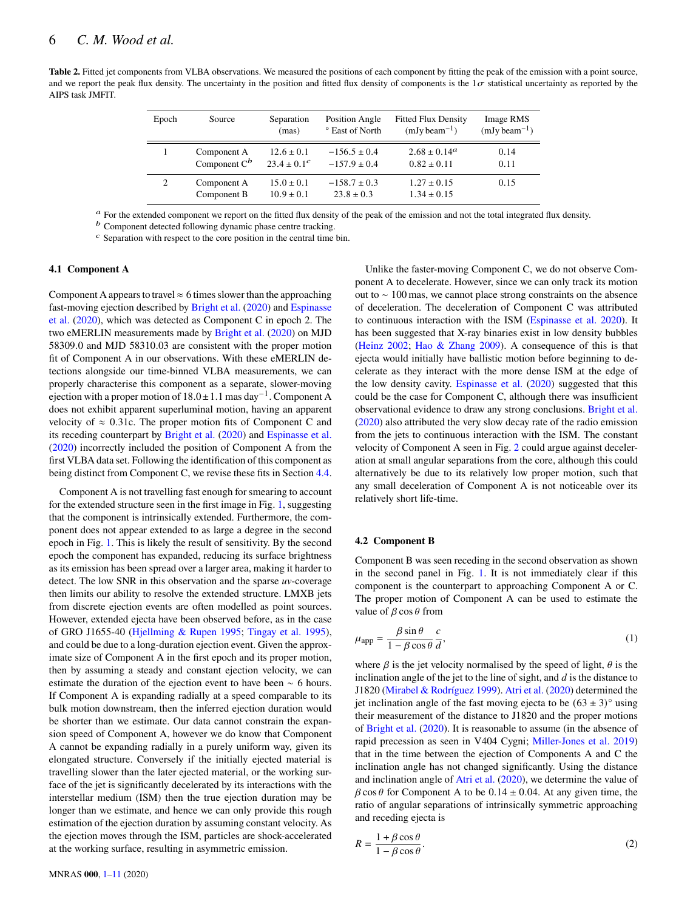<span id="page-5-0"></span>Table 2. Fitted jet components from VLBA observations. We measured the positions of each component by fitting the peak of the emission with a point source, and we report the peak flux density. The uncertainty in the position and fitted flux density of components is the  $1\sigma$  statistical uncertainty as reported by the AIPS task JMFIT.

| Epoch | Source                         | Separation<br>(mas)                | Position Angle<br>° East of North    | <b>Fitted Flux Density</b><br>$(mJy beam^{-1})$ | Image RMS<br>$(mJy beam^{-1})$ |
|-------|--------------------------------|------------------------------------|--------------------------------------|-------------------------------------------------|--------------------------------|
|       | Component A<br>Component $C^b$ | $12.6 \pm 0.1$<br>$23.4 \pm 0.1^c$ | $-156.5 \pm 0.4$<br>$-157.9 \pm 0.4$ | $2.68 \pm 0.14^{\circ}$<br>$0.82 \pm 0.11$      | 0.14<br>0.11                   |
| 2     | Component A<br>Component B     | $15.0 \pm 0.1$<br>$10.9 \pm 0.1$   | $-158.7 \pm 0.3$<br>$23.8 \pm 0.3$   | $1.27 \pm 0.15$<br>$1.34 \pm 0.15$              | 0.15                           |

 $a$  For the extended component we report on the fitted flux density of the peak of the emission and not the total integrated flux density.

 $<sup>b</sup>$  Component detected following dynamic phase centre tracking.</sup>

 $<sup>c</sup>$  Separation with respect to the core position in the central time bin.</sup>

# **4.1 Component A**

Component A appears to travel  $\approx$  6 times slower than the approaching fast-moving ejection described by [Bright et al.](#page-10-21) [\(2020\)](#page-10-21) and [Espinasse](#page-10-22) [et al.](#page-10-22) [\(2020\)](#page-10-22), which was detected as Component C in epoch 2. The two eMERLIN measurements made by [Bright et al.](#page-10-21) [\(2020\)](#page-10-21) on MJD 58309.0 and MJD 58310.03 are consistent with the proper motion fit of Component A in our observations. With these eMERLIN detections alongside our time-binned VLBA measurements, we can properly characterise this component as a separate, slower-moving ejection with a proper motion of 18.0±1.1 mas day−<sup>1</sup> . Component A does not exhibit apparent superluminal motion, having an apparent velocity of  $\approx 0.31c$ . The proper motion fits of Component C and its receding counterpart by [Bright et al.](#page-10-21) [\(2020\)](#page-10-21) and [Espinasse et al.](#page-10-22) [\(2020\)](#page-10-22) incorrectly included the position of Component A from the first VLBA data set. Following the identification of this component as being distinct from Component C, we revise these fits in Section [4.4.](#page-6-0)

Component A is not travelling fast enough for smearing to account for the extended structure seen in the first image in Fig. [1,](#page-3-0) suggesting that the component is intrinsically extended. Furthermore, the component does not appear extended to as large a degree in the second epoch in Fig. [1.](#page-3-0) This is likely the result of sensitivity. By the second epoch the component has expanded, reducing its surface brightness as its emission has been spread over a larger area, making it harder to detect. The low SNR in this observation and the sparse *uv*-coverage then limits our ability to resolve the extended structure. LMXB jets from discrete ejection events are often modelled as point sources. However, extended ejecta have been observed before, as in the case of GRO J1655-40 [\(Hjellming & Rupen](#page-10-38) [1995;](#page-10-38) [Tingay et al.](#page-10-39) [1995\)](#page-10-39), and could be due to a long-duration ejection event. Given the approximate size of Component A in the first epoch and its proper motion, then by assuming a steady and constant ejection velocity, we can estimate the duration of the ejection event to have been ∼ 6 hours. If Component A is expanding radially at a speed comparable to its bulk motion downstream, then the inferred ejection duration would be shorter than we estimate. Our data cannot constrain the expansion speed of Component A, however we do know that Component A cannot be expanding radially in a purely uniform way, given its elongated structure. Conversely if the initially ejected material is travelling slower than the later ejected material, or the working surface of the jet is significantly decelerated by its interactions with the interstellar medium (ISM) then the true ejection duration may be longer than we estimate, and hence we can only provide this rough estimation of the ejection duration by assuming constant velocity. As the ejection moves through the ISM, particles are shock-accelerated at the working surface, resulting in asymmetric emission.

Unlike the faster-moving Component C, we do not observe Component A to decelerate. However, since we can only track its motion out to ∼ 100 mas, we cannot place strong constraints on the absence of deceleration. The deceleration of Component C was attributed to continuous interaction with the ISM [\(Espinasse et al.](#page-10-22) [2020\)](#page-10-22). It has been suggested that X-ray binaries exist in low density bubbles [\(Heinz](#page-10-40) [2002;](#page-10-40) [Hao & Zhang](#page-10-41) [2009\)](#page-10-41). A consequence of this is that ejecta would initially have ballistic motion before beginning to decelerate as they interact with the more dense ISM at the edge of the low density cavity. [Espinasse et al.](#page-10-22) [\(2020\)](#page-10-22) suggested that this could be the case for Component C, although there was insufficient observational evidence to draw any strong conclusions. [Bright et al.](#page-10-21) [\(2020\)](#page-10-21) also attributed the very slow decay rate of the radio emission from the jets to continuous interaction with the ISM. The constant velocity of Component A seen in Fig. [2](#page-4-0) could argue against deceleration at small angular separations from the core, although this could alternatively be due to its relatively low proper motion, such that any small deceleration of Component A is not noticeable over its relatively short life-time.

#### <span id="page-5-1"></span>**4.2 Component B**

Component B was seen receding in the second observation as shown in the second panel in Fig. [1.](#page-3-0) It is not immediately clear if this component is the counterpart to approaching Component A or C. The proper motion of Component A can be used to estimate the value of  $\beta$  cos  $\theta$  from

$$
\mu_{app} = \frac{\beta \sin \theta}{1 - \beta \cos \theta} \frac{c}{d},\tag{1}
$$

where  $\beta$  is the jet velocity normalised by the speed of light,  $\theta$  is the inclination angle of the jet to the line of sight, and  $d$  is the distance to J1820 [\(Mirabel & Rodríguez](#page-10-42) [1999\)](#page-10-42). [Atri et al.](#page-10-9) [\(2020\)](#page-10-9) determined the jet inclination angle of the fast moving ejecta to be  $(63 \pm 3)^\circ$  using their measurement of the distance to J1820 and the proper motions of [Bright et al.](#page-10-21) [\(2020\)](#page-10-21). It is reasonable to assume (in the absence of rapid precession as seen in V404 Cygni; [Miller-Jones et al.](#page-10-24) [2019\)](#page-10-24) that in the time between the ejection of Components A and C the inclination angle has not changed significantly. Using the distance and inclination angle of [Atri et al.](#page-10-9) [\(2020\)](#page-10-9), we determine the value of  $\beta$  cos  $\theta$  for Component A to be 0.14  $\pm$  0.04. At any given time, the ratio of angular separations of intrinsically symmetric approaching and receding ejecta is

$$
R = \frac{1 + \beta \cos \theta}{1 - \beta \cos \theta}.
$$
 (2)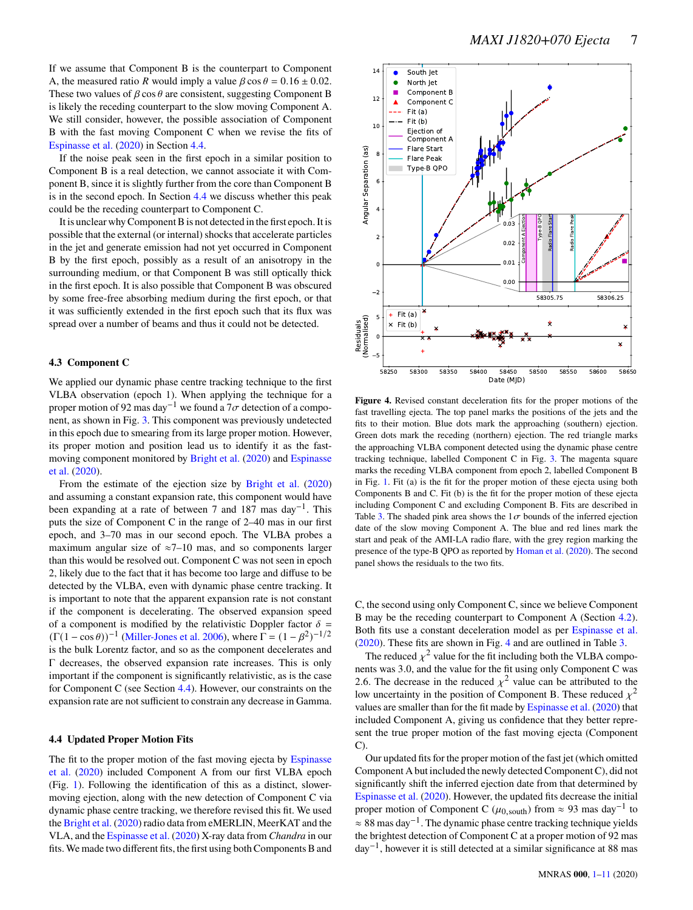If we assume that Component B is the counterpart to Component A, the measured ratio R would imply a value  $\beta \cos \theta = 0.16 \pm 0.02$ . These two values of  $\beta \cos \theta$  are consistent, suggesting Component B is likely the receding counterpart to the slow moving Component A. We still consider, however, the possible association of Component B with the fast moving Component C when we revise the fits of [Espinasse et al.](#page-10-22) [\(2020\)](#page-10-22) in Section [4.4.](#page-6-0)

If the noise peak seen in the first epoch in a similar position to Component B is a real detection, we cannot associate it with Component B, since it is slightly further from the core than Component B is in the second epoch. In Section [4.4](#page-6-0) we discuss whether this peak could be the receding counterpart to Component C.

It is unclear why Component B is not detected in the first epoch. It is possible that the external (or internal) shocks that accelerate particles in the jet and generate emission had not yet occurred in Component B by the first epoch, possibly as a result of an anisotropy in the surrounding medium, or that Component B was still optically thick in the first epoch. It is also possible that Component B was obscured by some free-free absorbing medium during the first epoch, or that it was sufficiently extended in the first epoch such that its flux was spread over a number of beams and thus it could not be detected.

### **4.3 Component C**

We applied our dynamic phase centre tracking technique to the first VLBA observation (epoch 1). When applying the technique for a proper motion of 92 mas day<sup>-1</sup> we found a 7 $\sigma$  detection of a component, as shown in Fig. [3.](#page-4-1) This component was previously undetected in this epoch due to smearing from its large proper motion. However, its proper motion and position lead us to identify it as the fastmoving component monitored by [Bright et al.](#page-10-21) [\(2020\)](#page-10-21) and [Espinasse](#page-10-22) [et al.](#page-10-22) [\(2020\)](#page-10-22).

From the estimate of the ejection size by [Bright et al.](#page-10-21) [\(2020\)](#page-10-21) and assuming a constant expansion rate, this component would have been expanding at a rate of between 7 and 187 mas day<sup>-1</sup>. This puts the size of Component C in the range of 2–40 mas in our first epoch, and 3–70 mas in our second epoch. The VLBA probes a maximum angular size of  $\approx$ 7–10 mas, and so components larger than this would be resolved out. Component C was not seen in epoch 2, likely due to the fact that it has become too large and diffuse to be detected by the VLBA, even with dynamic phase centre tracking. It is important to note that the apparent expansion rate is not constant if the component is decelerating. The observed expansion speed of a component is modified by the relativistic Doppler factor  $\delta =$  $(\Gamma(1 - \cos \theta))^{-1}$  [\(Miller-Jones et al.](#page-10-43) [2006\)](#page-10-43), where  $\Gamma = (1 - \beta^2)^{-1/2}$ is the bulk Lorentz factor, and so as the component decelerates and Γ decreases, the observed expansion rate increases. This is only important if the component is significantly relativistic, as is the case for Component C (see Section [4.4\)](#page-6-0). However, our constraints on the expansion rate are not sufficient to constrain any decrease in Gamma.

### <span id="page-6-0"></span>**4.4 Updated Proper Motion Fits**

The fit to the proper motion of the fast moving ejecta by [Espinasse](#page-10-22) [et al.](#page-10-22) [\(2020\)](#page-10-22) included Component A from our first VLBA epoch (Fig. [1\)](#page-3-0). Following the identification of this as a distinct, slowermoving ejection, along with the new detection of Component C via dynamic phase centre tracking, we therefore revised this fit. We used the [Bright et al.](#page-10-21) [\(2020\)](#page-10-21) radio data from eMERLIN, MeerKAT and the VLA, and the [Espinasse et al.](#page-10-22) [\(2020\)](#page-10-22) X-ray data from *Chandra* in our fits. We made two different fits, the first using both Components B and



<span id="page-6-1"></span>**Figure 4.** Revised constant deceleration fits for the proper motions of the fast travelling ejecta. The top panel marks the positions of the jets and the fits to their motion. Blue dots mark the approaching (southern) ejection. Green dots mark the receding (northern) ejection. The red triangle marks the approaching VLBA component detected using the dynamic phase centre tracking technique, labelled Component C in Fig. [3.](#page-4-1) The magenta square marks the receding VLBA component from epoch 2, labelled Component B in Fig. [1.](#page-3-0) Fit (a) is the fit for the proper motion of these ejecta using both Components B and C. Fit (b) is the fit for the proper motion of these ejecta including Component C and excluding Component B. Fits are described in Table [3.](#page-7-0) The shaded pink area shows the  $1\sigma$  bounds of the inferred ejection date of the slow moving Component A. The blue and red lines mark the start and peak of the AMI-LA radio flare, with the grey region marking the presence of the type-B QPO as reported by [Homan et al.](#page-10-17) [\(2020\)](#page-10-17). The second panel shows the residuals to the two fits.

C, the second using only Component C, since we believe Component B may be the receding counterpart to Component A (Section [4.2\)](#page-5-1). Both fits use a constant deceleration model as per [Espinasse et al.](#page-10-22) [\(2020\)](#page-10-22). These fits are shown in Fig. [4](#page-6-1) and are outlined in Table [3.](#page-7-0)

The reduced  $y^2$  value for the fit including both the VLBA components was 3.0, and the value for the fit using only Component C was 2.6. The decrease in the reduced  $x^2$  value can be attributed to the low uncertainty in the position of Component B. These reduced  $\chi^2$ values are smaller than for the fit made by [Espinasse et al.](#page-10-22) [\(2020\)](#page-10-22) that included Component A, giving us confidence that they better represent the true proper motion of the fast moving ejecta (Component  $\mathcal{C}$ 

Our updated fits for the proper motion of the fast jet (which omitted Component A but included the newly detected Component C), did not significantly shift the inferred ejection date from that determined by [Espinasse et al.](#page-10-22) [\(2020\)](#page-10-22). However, the updated fits decrease the initial proper motion of Component C ( $\mu$ <sub>0.south</sub>) from ≈ 93 mas day<sup>-1</sup> to  $\approx 88$  mas day<sup>-1</sup>. The dynamic phase centre tracking technique yields the brightest detection of Component C at a proper motion of 92 mas day−<sup>1</sup> , however it is still detected at a similar significance at 88 mas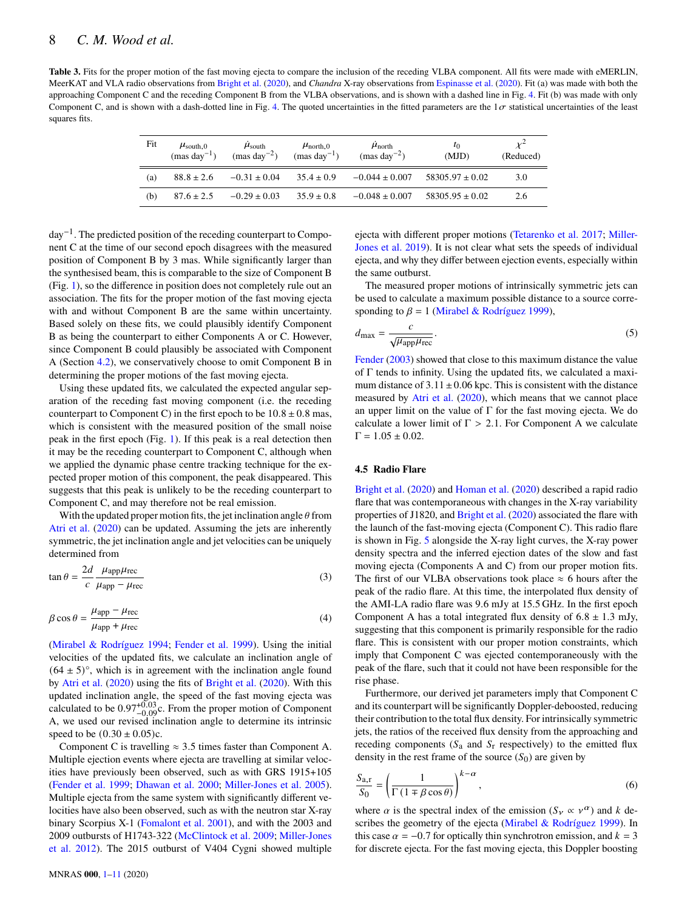<span id="page-7-0"></span>**Table 3.** Fits for the proper motion of the fast moving ejecta to compare the inclusion of the receding VLBA component. All fits were made with eMERLIN, MeerKAT and VLA radio observations from [Bright et al.](#page-10-21) [\(2020\)](#page-10-21), and *Chandra* X-ray observations from [Espinasse et al.](#page-10-22) [\(2020\)](#page-10-22). Fit (a) was made with both the approaching Component C and the receding Component B from the VLBA observations, and is shown with a dashed line in Fig. [4.](#page-6-1) Fit (b) was made with only Component C, and is shown with a dash-dotted line in Fig. [4.](#page-6-1) The quoted uncertainties in the fitted parameters are the  $1\sigma$  statistical uncertainties of the least squares fits.

| Fit | $\mu_{\text{south},0}$<br>$(mas \, \text{dav}^{-1})$ | $\mu_{\text{south}}$<br>$\text{(mas day}^{-2})$ | $\mu_{\text{north},0}$<br>$(mas day-1)$ | $\mu_{\text{north}}$<br>$(mas \,day^{-2})$ | $\tau_0$<br>(MJD)   | (Reduced) |
|-----|------------------------------------------------------|-------------------------------------------------|-----------------------------------------|--------------------------------------------|---------------------|-----------|
| (a) | $88.8 \pm 2.6$                                       | $-0.31 \pm 0.04$                                | $35.4 \pm 0.9$                          | $-0.044 \pm 0.007$                         | $58305.97 \pm 0.02$ | 3.0       |
| (b) | $87.6 \pm 2.5$                                       | $-0.29 \pm 0.03$                                | $35.9 \pm 0.8$                          | $-0.048 \pm 0.007$                         | $58305.95 \pm 0.02$ | 2.6       |

 $\text{d}$ av<sup>-1</sup>. The predicted position of the receding counterpart to Component C at the time of our second epoch disagrees with the measured position of Component B by 3 mas. While significantly larger than the synthesised beam, this is comparable to the size of Component B (Fig. [1\)](#page-3-0), so the difference in position does not completely rule out an association. The fits for the proper motion of the fast moving ejecta with and without Component B are the same within uncertainty. Based solely on these fits, we could plausibly identify Component B as being the counterpart to either Components A or C. However, since Component B could plausibly be associated with Component A (Section [4.2\)](#page-5-1), we conservatively choose to omit Component B in determining the proper motions of the fast moving ejecta.

Using these updated fits, we calculated the expected angular separation of the receding fast moving component (i.e. the receding counterpart to Component C) in the first epoch to be  $10.8 \pm 0.8$  mas, which is consistent with the measured position of the small noise peak in the first epoch (Fig. [1\)](#page-3-0). If this peak is a real detection then it may be the receding counterpart to Component C, although when we applied the dynamic phase centre tracking technique for the expected proper motion of this component, the peak disappeared. This suggests that this peak is unlikely to be the receding counterpart to Component C, and may therefore not be real emission.

With the updated proper motion fits, the jet inclination angle  $\theta$  from [Atri et al.](#page-10-9) [\(2020\)](#page-10-9) can be updated. Assuming the jets are inherently symmetric, the jet inclination angle and jet velocities can be uniquely determined from

$$
\tan \theta = \frac{2d}{c} \frac{\mu_{\rm app} \mu_{\rm rec}}{\mu_{\rm app} - \mu_{\rm rec}} \tag{3}
$$

$$
\beta \cos \theta = \frac{\mu_{app} - \mu_{rec}}{\mu_{app} + \mu_{rec}} \tag{4}
$$

[\(Mirabel & Rodríguez](#page-10-44) [1994;](#page-10-44) [Fender et al.](#page-10-45) [1999\)](#page-10-45). Using the initial velocities of the updated fits, we calculate an inclination angle of  $(64 \pm 5)$ °, which is in agreement with the inclination angle found by [Atri et al.](#page-10-9) [\(2020\)](#page-10-9) using the fits of [Bright et al.](#page-10-21) [\(2020\)](#page-10-21). With this updated inclination angle, the speed of the fast moving ejecta was calculated to be  $0.97^{+0.03}_{-0.09}$ c. From the proper motion of Component A, we used our revised inclination angle to determine its intrinsic speed to be  $(0.30 \pm 0.05)c$ .

Component C is travelling  $\approx 3.5$  times faster than Component A. Multiple ejection events where ejecta are travelling at similar velocities have previously been observed, such as with GRS 1915+105 [\(Fender et al.](#page-10-45) [1999;](#page-10-45) [Dhawan et al.](#page-10-46) [2000;](#page-10-46) [Miller-Jones et al.](#page-10-47) [2005\)](#page-10-47). Multiple ejecta from the same system with significantly different velocities have also been observed, such as with the neutron star X-ray binary Scorpius X-1 [\(Fomalont et al.](#page-10-23) [2001\)](#page-10-23), and with the 2003 and 2009 outbursts of H1743-322 [\(McClintock et al.](#page-10-48) [2009;](#page-10-48) [Miller-Jones](#page-10-4) [et al.](#page-10-4) [2012\)](#page-10-4). The 2015 outburst of V404 Cygni showed multiple

ejecta with different proper motions [\(Tetarenko et al.](#page-10-49) [2017;](#page-10-49) [Miller-](#page-10-24)[Jones et al.](#page-10-24) [2019\)](#page-10-24). It is not clear what sets the speeds of individual ejecta, and why they differ between ejection events, especially within the same outburst.

The measured proper motions of intrinsically symmetric jets can be used to calculate a maximum possible distance to a source corresponding to  $\beta = 1$  [\(Mirabel & Rodríguez](#page-10-42) [1999\)](#page-10-42),

$$
d_{\text{max}} = \frac{c}{\sqrt{\mu_{\text{app}}\mu_{\text{rec}}}}.\tag{5}
$$

[Fender](#page-10-50) [\(2003\)](#page-10-50) showed that close to this maximum distance the value of Γ tends to infinity. Using the updated fits, we calculated a maximum distance of  $3.11 \pm 0.06$  kpc. This is consistent with the distance measured by [Atri et al.](#page-10-9) [\(2020\)](#page-10-9), which means that we cannot place an upper limit on the value of  $\Gamma$  for the fast moving ejecta. We do calculate a lower limit of  $\Gamma > 2.1$ . For Component A we calculate  $\Gamma = 1.05 \pm 0.02$ .

## <span id="page-7-2"></span>**4.5 Radio Flare**

[Bright et al.](#page-10-21) [\(2020\)](#page-10-21) and [Homan et al.](#page-10-17) [\(2020\)](#page-10-17) described a rapid radio flare that was contemporaneous with changes in the X-ray variability properties of J1820, and [Bright et al.](#page-10-21) [\(2020\)](#page-10-21) associated the flare with the launch of the fast-moving ejecta (Component C). This radio flare is shown in Fig. [5](#page-8-0) alongside the X-ray light curves, the X-ray power density spectra and the inferred ejection dates of the slow and fast moving ejecta (Components A and C) from our proper motion fits. The first of our VLBA observations took place  $\approx$  6 hours after the peak of the radio flare. At this time, the interpolated flux density of the AMI-LA radio flare was 9.6 mJy at 15.5 GHz. In the first epoch Component A has a total integrated flux density of  $6.8 \pm 1.3$  mJy, suggesting that this component is primarily responsible for the radio flare. This is consistent with our proper motion constraints, which imply that Component C was ejected contemporaneously with the peak of the flare, such that it could not have been responsible for the rise phase.

Furthermore, our derived jet parameters imply that Component C and its counterpart will be significantly Doppler-deboosted, reducing their contribution to the total flux density. For intrinsically symmetric jets, the ratios of the received flux density from the approaching and receding components ( $S_a$  and  $S_r$  respectively) to the emitted flux density in the rest frame of the source  $(S_0)$  are given by

<span id="page-7-1"></span>
$$
\frac{S_{a,r}}{S_0} = \left(\frac{1}{\Gamma(1 \mp \beta \cos \theta)}\right)^{k-\alpha},\tag{6}
$$

where  $\alpha$  is the spectral index of the emission  $(S_{\gamma} \propto \gamma^{\alpha})$  and k de-scribes the geometry of the ejecta [\(Mirabel & Rodríguez](#page-10-42) [1999\)](#page-10-42). In this case  $\alpha = -0.7$  for optically thin synchrotron emission, and  $k = 3$ for discrete ejecta. For the fast moving ejecta, this Doppler boosting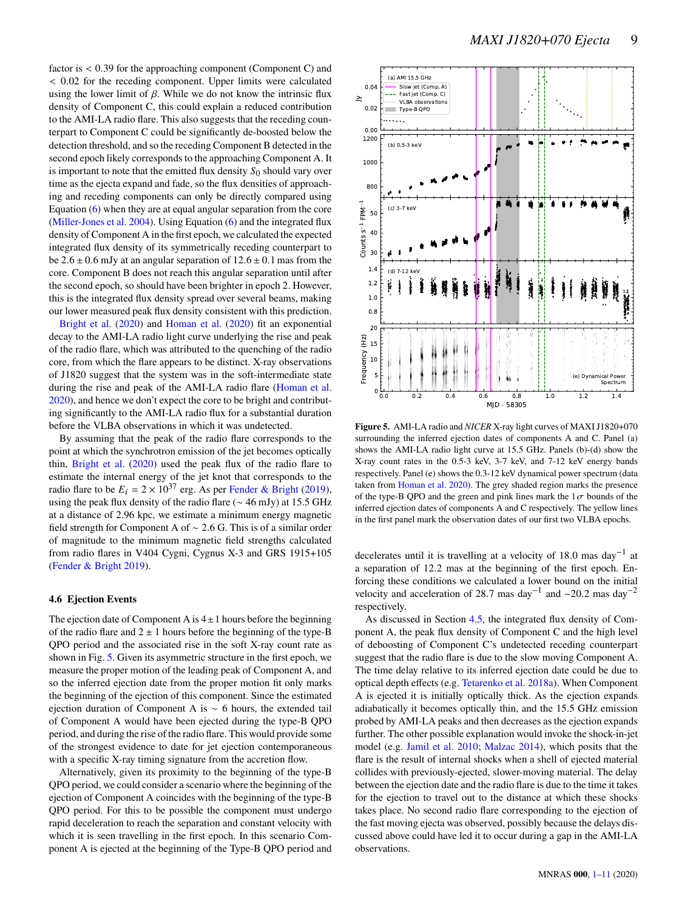factor is < 0.39 for the approaching component (Component C) and < 0.02 for the receding component. Upper limits were calculated using the lower limit of  $\beta$ . While we do not know the intrinsic flux density of Component C, this could explain a reduced contribution to the AMI-LA radio flare. This also suggests that the receding counterpart to Component C could be significantly de-boosted below the detection threshold, and so the receding Component B detected in the second epoch likely corresponds to the approaching Component A. It is important to note that the emitted flux density  $S_0$  should vary over time as the ejecta expand and fade, so the flux densities of approaching and receding components can only be directly compared using Equation [\(6\)](#page-7-1) when they are at equal angular separation from the core [\(Miller-Jones et al.](#page-10-51) [2004\)](#page-10-51). Using Equation [\(6\)](#page-7-1) and the integrated flux density of Component A in the first epoch, we calculated the expected integrated flux density of its symmetrically receding counterpart to be  $2.6 \pm 0.6$  mJy at an angular separation of  $12.6 \pm 0.1$  mas from the core. Component B does not reach this angular separation until after the second epoch, so should have been brighter in epoch 2. However, this is the integrated flux density spread over several beams, making our lower measured peak flux density consistent with this prediction.

[Bright et al.](#page-10-21) [\(2020\)](#page-10-21) and [Homan et al.](#page-10-17) [\(2020\)](#page-10-17) fit an exponential decay to the AMI-LA radio light curve underlying the rise and peak of the radio flare, which was attributed to the quenching of the radio core, from which the flare appears to be distinct. X-ray observations of J1820 suggest that the system was in the soft-intermediate state during the rise and peak of the AMI-LA radio flare [\(Homan et al.](#page-10-17) [2020\)](#page-10-17), and hence we don't expect the core to be bright and contributing significantly to the AMI-LA radio flux for a substantial duration before the VLBA observations in which it was undetected.

By assuming that the peak of the radio flare corresponds to the point at which the synchrotron emission of the jet becomes optically thin, [Bright et al.](#page-10-21) [\(2020\)](#page-10-21) used the peak flux of the radio flare to estimate the internal energy of the jet knot that corresponds to the radio flare to be  $E_i = 2 \times 10^{37}$  erg. As per [Fender & Bright](#page-10-52) [\(2019\)](#page-10-52), using the peak flux density of the radio flare (∼ 46 mJy) at 15.5 GHz at a distance of 2.96 kpc, we estimate a minimum energy magnetic field strength for Component A of ∼ 2.6 G. This is of a similar order of magnitude to the minimum magnetic field strengths calculated from radio flares in V404 Cygni, Cygnus X-3 and GRS 1915+105 [\(Fender & Bright](#page-10-52) [2019\)](#page-10-52).

# **4.6 Ejection Events**

The ejection date of Component A is  $4 \pm 1$  hours before the beginning of the radio flare and  $2 \pm 1$  hours before the beginning of the type-B QPO period and the associated rise in the soft X-ray count rate as shown in Fig. [5.](#page-8-0) Given its asymmetric structure in the first epoch, we measure the proper motion of the leading peak of Component A, and so the inferred ejection date from the proper motion fit only marks the beginning of the ejection of this component. Since the estimated ejection duration of Component A is ∼ 6 hours, the extended tail of Component A would have been ejected during the type-B QPO period, and during the rise of the radio flare. This would provide some of the strongest evidence to date for jet ejection contemporaneous with a specific X-ray timing signature from the accretion flow.

Alternatively, given its proximity to the beginning of the type-B QPO period, we could consider a scenario where the beginning of the ejection of Component A coincides with the beginning of the type-B QPO period. For this to be possible the component must undergo rapid deceleration to reach the separation and constant velocity with which it is seen travelling in the first epoch. In this scenario Component A is ejected at the beginning of the Type-B QPO period and



<span id="page-8-0"></span>**Figure 5.** AMI-LA radio and *NICER* X-ray light curves of MAXI J1820+070 surrounding the inferred ejection dates of components A and C. Panel (a) shows the AMI-LA radio light curve at 15.5 GHz. Panels (b)-(d) show the X-ray count rates in the 0.5-3 keV, 3-7 keV, and 7-12 keV energy bands respectively. Panel (e) shows the 0.3-12 keV dynamical power spectrum (data taken from [Homan et al.](#page-10-17) [2020\)](#page-10-17). The grey shaded region marks the presence of the type-B QPO and the green and pink lines mark the  $1\sigma$  bounds of the inferred ejection dates of components A and C respectively. The yellow lines in the first panel mark the observation dates of our first two VLBA epochs.

decelerates until it is travelling at a velocity of 18.0 mas day<sup>-1</sup> at a separation of 12.2 mas at the beginning of the first epoch. Enforcing these conditions we calculated a lower bound on the initial velocity and acceleration of 28.7 mas day<sup>-1</sup> and -20.2 mas day<sup>-2</sup> respectively.

As discussed in Section [4.5,](#page-7-2) the integrated flux density of Component A, the peak flux density of Component C and the high level of deboosting of Component C's undetected receding counterpart suggest that the radio flare is due to the slow moving Component A. The time delay relative to its inferred ejection date could be due to optical depth effects (e.g. [Tetarenko et al.](#page-10-53) [2018a\)](#page-10-53). When Component A is ejected it is initially optically thick. As the ejection expands adiabatically it becomes optically thin, and the 15.5 GHz emission probed by AMI-LA peaks and then decreases as the ejection expands further. The other possible explanation would invoke the shock-in-jet model (e.g. [Jamil et al.](#page-10-54) [2010;](#page-10-54) [Malzac](#page-10-55) [2014\)](#page-10-55), which posits that the flare is the result of internal shocks when a shell of ejected material collides with previously-ejected, slower-moving material. The delay between the ejection date and the radio flare is due to the time it takes for the ejection to travel out to the distance at which these shocks takes place. No second radio flare corresponding to the ejection of the fast moving ejecta was observed, possibly because the delays discussed above could have led it to occur during a gap in the AMI-LA observations.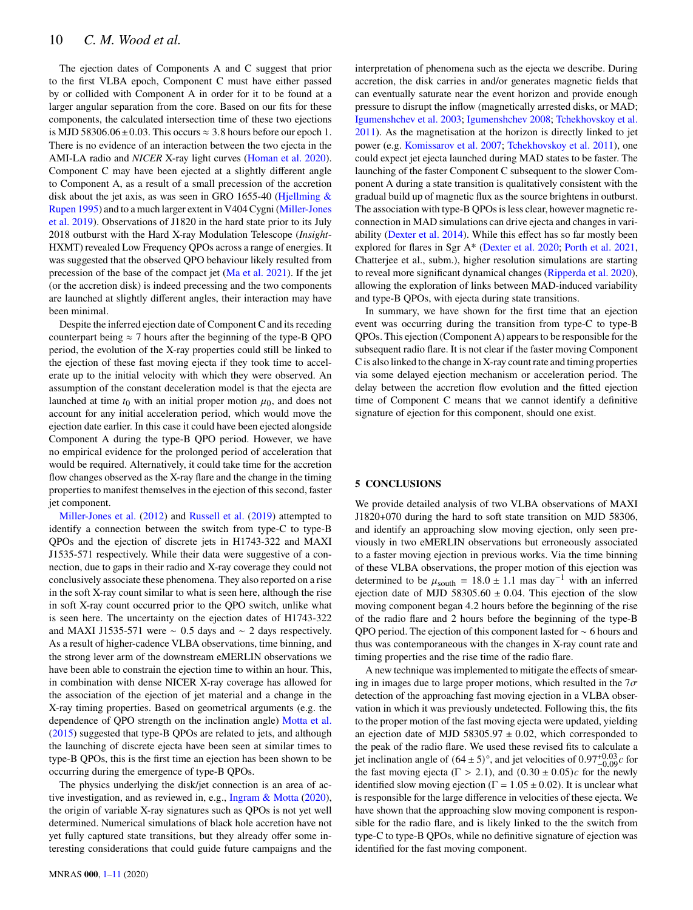# 10 *C. M. Wood et al.*

The ejection dates of Components A and C suggest that prior to the first VLBA epoch, Component C must have either passed by or collided with Component A in order for it to be found at a larger angular separation from the core. Based on our fits for these components, the calculated intersection time of these two ejections is MJD 58306.06 $\pm$ 0.03. This occurs  $\approx$  3.8 hours before our epoch 1. There is no evidence of an interaction between the two ejecta in the AMI-LA radio and *NICER* X-ray light curves [\(Homan et al.](#page-10-17) [2020\)](#page-10-17). Component C may have been ejected at a slightly different angle to Component A, as a result of a small precession of the accretion disk about the jet axis, as was seen in GRO 1655-40 (Hjellming  $\&$ [Rupen](#page-10-38) [1995\)](#page-10-38) and to a much larger extent in V404 Cygni [\(Miller-Jones](#page-10-24) [et al.](#page-10-24) [2019\)](#page-10-24). Observations of J1820 in the hard state prior to its July 2018 outburst with the Hard X-ray Modulation Telescope (*Insight*-HXMT) revealed Low Frequency QPOs across a range of energies. It was suggested that the observed QPO behaviour likely resulted from precession of the base of the compact jet [\(Ma et al.](#page-10-56) [2021\)](#page-10-56). If the jet (or the accretion disk) is indeed precessing and the two components are launched at slightly different angles, their interaction may have been minimal.

Despite the inferred ejection date of Component C and its receding counterpart being  $\approx$  7 hours after the beginning of the type-B QPO period, the evolution of the X-ray properties could still be linked to the ejection of these fast moving ejecta if they took time to accelerate up to the initial velocity with which they were observed. An assumption of the constant deceleration model is that the ejecta are launched at time  $t_0$  with an initial proper motion  $\mu_0$ , and does not account for any initial acceleration period, which would move the ejection date earlier. In this case it could have been ejected alongside Component A during the type-B QPO period. However, we have no empirical evidence for the prolonged period of acceleration that would be required. Alternatively, it could take time for the accretion flow changes observed as the X-ray flare and the change in the timing properties to manifest themselves in the ejection of this second, faster jet component.

[Miller-Jones et al.](#page-10-4) [\(2012\)](#page-10-4) and [Russell et al.](#page-10-5) [\(2019\)](#page-10-5) attempted to identify a connection between the switch from type-C to type-B QPOs and the ejection of discrete jets in H1743-322 and MAXI J1535-571 respectively. While their data were suggestive of a connection, due to gaps in their radio and X-ray coverage they could not conclusively associate these phenomena. They also reported on a rise in the soft X-ray count similar to what is seen here, although the rise in soft X-ray count occurred prior to the QPO switch, unlike what is seen here. The uncertainty on the ejection dates of H1743-322 and MAXI J1535-571 were  $\sim$  0.5 days and  $\sim$  2 days respectively. As a result of higher-cadence VLBA observations, time binning, and the strong lever arm of the downstream eMERLIN observations we have been able to constrain the ejection time to within an hour. This, in combination with dense NICER X-ray coverage has allowed for the association of the ejection of jet material and a change in the X-ray timing properties. Based on geometrical arguments (e.g. the dependence of QPO strength on the inclination angle) [Motta et al.](#page-10-57) [\(2015\)](#page-10-57) suggested that type-B QPOs are related to jets, and although the launching of discrete ejecta have been seen at similar times to type-B QPOs, this is the first time an ejection has been shown to be occurring during the emergence of type-B QPOs.

The physics underlying the disk/jet connection is an area of active investigation, and as reviewed in, e.g., [Ingram & Motta](#page-10-2) [\(2020\)](#page-10-2), the origin of variable X-ray signatures such as QPOs is not yet well determined. Numerical simulations of black hole accretion have not yet fully captured state transitions, but they already offer some interesting considerations that could guide future campaigns and the

interpretation of phenomena such as the ejecta we describe. During accretion, the disk carries in and/or generates magnetic fields that can eventually saturate near the event horizon and provide enough pressure to disrupt the inflow (magnetically arrested disks, or MAD; [Igumenshchev et al.](#page-10-58) [2003;](#page-10-58) [Igumenshchev](#page-10-59) [2008;](#page-10-59) [Tchekhovskoy et al.](#page-10-60) [2011\)](#page-10-60). As the magnetisation at the horizon is directly linked to jet power (e.g. [Komissarov et al.](#page-10-61) [2007;](#page-10-61) [Tchekhovskoy et al.](#page-10-60) [2011\)](#page-10-60), one could expect jet ejecta launched during MAD states to be faster. The launching of the faster Component C subsequent to the slower Component A during a state transition is qualitatively consistent with the gradual build up of magnetic flux as the source brightens in outburst. The association with type-B QPOs is less clear, however magnetic reconnection in MAD simulations can drive ejecta and changes in variability [\(Dexter et al.](#page-10-62) [2014\)](#page-10-62). While this effect has so far mostly been explored for flares in Sgr A\* [\(Dexter et al.](#page-10-63) [2020;](#page-10-63) [Porth et al.](#page-10-64) [2021,](#page-10-64) Chatterjee et al., subm.), higher resolution simulations are starting to reveal more significant dynamical changes [\(Ripperda et al.](#page-10-65) [2020\)](#page-10-65), allowing the exploration of links between MAD-induced variability and type-B QPOs, with ejecta during state transitions.

In summary, we have shown for the first time that an ejection event was occurring during the transition from type-C to type-B QPOs. This ejection (Component A) appears to be responsible for the subsequent radio flare. It is not clear if the faster moving Component C is also linked to the change in X-ray count rate and timing properties via some delayed ejection mechanism or acceleration period. The delay between the accretion flow evolution and the fitted ejection time of Component C means that we cannot identify a definitive signature of ejection for this component, should one exist.

#### <span id="page-9-0"></span>**5 CONCLUSIONS**

We provide detailed analysis of two VLBA observations of MAXI J1820+070 during the hard to soft state transition on MJD 58306, and identify an approaching slow moving ejection, only seen previously in two eMERLIN observations but erroneously associated to a faster moving ejection in previous works. Via the time binning of these VLBA observations, the proper motion of this ejection was determined to be  $\mu_{\text{south}} = 18.0 \pm 1.1$  mas day<sup>-1</sup> with an inferred ejection date of MJD 58305.60  $\pm$  0.04. This ejection of the slow moving component began 4.2 hours before the beginning of the rise of the radio flare and 2 hours before the beginning of the type-B QPO period. The ejection of this component lasted for ∼ 6 hours and thus was contemporaneous with the changes in X-ray count rate and timing properties and the rise time of the radio flare.

A new technique was implemented to mitigate the effects of smearing in images due to large proper motions, which resulted in the  $7\sigma$ detection of the approaching fast moving ejection in a VLBA observation in which it was previously undetected. Following this, the fits to the proper motion of the fast moving ejecta were updated, yielding an ejection date of MJD 58305.97  $\pm$  0.02, which corresponded to the peak of the radio flare. We used these revised fits to calculate a jet inclination angle of  $(64 \pm 5)^\circ$ , and jet velocities of  $0.97^{+0.03}_{-0.09}c$  for the fast moving ejecta ( $\Gamma > 2.1$ ), and  $(0.30 \pm 0.05)c$  for the newly identified slow moving ejection ( $\Gamma = 1.05 \pm 0.02$ ). It is unclear what is responsible for the large difference in velocities of these ejecta. We have shown that the approaching slow moving component is responsible for the radio flare, and is likely linked to the the switch from type-C to type-B QPOs, while no definitive signature of ejection was identified for the fast moving component.